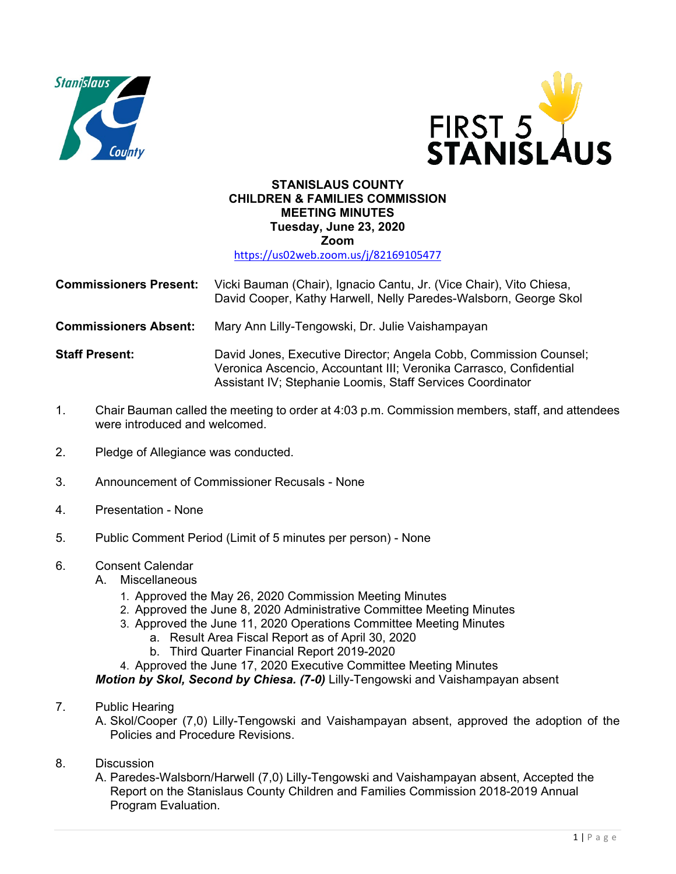



## **STANISLAUS COUNTY CHILDREN & FAMILIES COMMISSION MEETING MINUTES Tuesday, June 23, 2020 Zoom**

<https://us02web.zoom.us/j/82169105477>

| <b>Commissioners Present:</b> Vicki Bauman (Chair), Ignacio Cantu, Jr. (Vice Chair), Vito Chiesa, |
|---------------------------------------------------------------------------------------------------|
| David Cooper, Kathy Harwell, Nelly Paredes-Walsborn, George Skol                                  |

**Commissioners Absent:** Mary Ann Lilly-Tengowski, Dr. Julie Vaishampayan

**Staff Present:** David Jones, Executive Director; Angela Cobb, Commission Counsel; Veronica Ascencio, Accountant III; Veronika Carrasco, Confidential Assistant IV; Stephanie Loomis, Staff Services Coordinator

- 1. Chair Bauman called the meeting to order at 4:03 p.m. Commission members, staff, and attendees were introduced and welcomed.
- 2. Pledge of Allegiance was conducted.
- 3. Announcement of Commissioner Recusals None
- 4. Presentation None
- 5. Public Comment Period (Limit of 5 minutes per person) None

## 6. Consent Calendar

- A. Miscellaneous
	- 1. Approved the May 26, 2020 Commission Meeting Minutes
	- 2. Approved the June 8, 2020 Administrative Committee Meeting Minutes
	- 3. Approved the June 11, 2020 Operations Committee Meeting Minutes
		- a. Result Area Fiscal Report as of April 30, 2020
		- b. Third Quarter Financial Report 2019-2020
	- 4. Approved the June 17, 2020 Executive Committee Meeting Minutes

*Motion by Skol, Second by Chiesa. (7-0)* Lilly-Tengowski and Vaishampayan absent

- 7. Public Hearing
	- A. Skol/Cooper (7,0) Lilly-Tengowski and Vaishampayan absent, approved the adoption of the Policies and Procedure Revisions.
- 8. Discussion
	- A. Paredes-Walsborn/Harwell (7,0) Lilly-Tengowski and Vaishampayan absent, Accepted the Report on the Stanislaus County Children and Families Commission 2018-2019 Annual Program Evaluation.